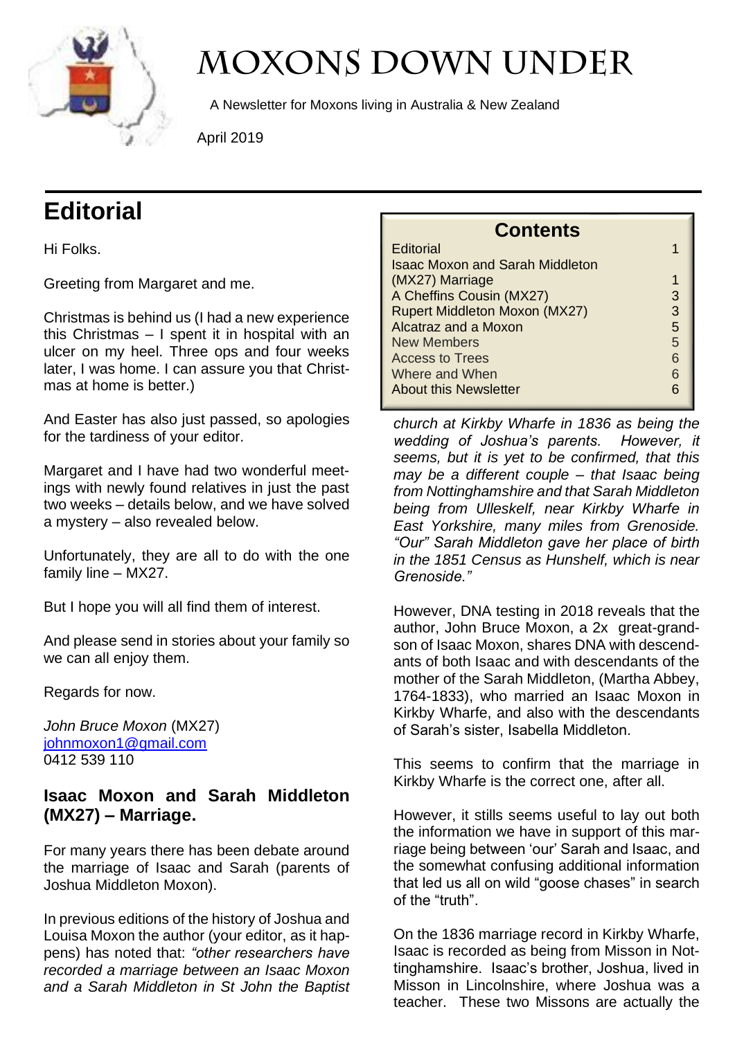

# **MOXONS DOWN UNDER**

A Newsletter for Moxons living in Australia & New Zealand

April 2019

# **Editorial**

Hi Folks.

Greeting from Margaret and me.

Christmas is behind us (I had a new experience this Christmas – I spent it in hospital with an ulcer on my heel. Three ops and four weeks later, I was home. I can assure you that Christmas at home is better.)

And Easter has also just passed, so apologies for the tardiness of your editor.

Margaret and I have had two wonderful meetings with newly found relatives in just the past two weeks – details below, and we have solved a mystery – also revealed below.

Unfortunately, they are all to do with the one family line – MX27.

But I hope you will all find them of interest.

And please send in stories about your family so we can all enjoy them.

Regards for now.

*John Bruce Moxon* (MX27) [johnmoxon1@gmail.com](mailto:johnmoxon1@gmail.com) 0412 539 110

#### **Isaac Moxon and Sarah Middleton (MX27) – Marriage.**

For many years there has been debate around the marriage of Isaac and Sarah (parents of Joshua Middleton Moxon).

In previous editions of the history of Joshua and Louisa Moxon the author (your editor, as it happens) has noted that: *"other researchers have recorded a marriage between an Isaac Moxon and a Sarah Middleton in St John the Baptist* 

| CONTENTS                               |   |
|----------------------------------------|---|
| <b>Editorial</b>                       |   |
| <b>Isaac Moxon and Sarah Middleton</b> |   |
| (MX27) Marriage                        | 1 |
| A Cheffins Cousin (MX27)               | 3 |
| <b>Rupert Middleton Moxon (MX27)</b>   | 3 |
| <b>Alcatraz and a Moxon</b>            | 5 |
| New Members                            | 5 |
| <b>Access to Trees</b>                 | 6 |
| Where and When                         | 6 |
| <b>About this Newsletter</b>           |   |

**Contents**

*church at Kirkby Wharfe in 1836 as being the wedding of Joshua's parents. However, it seems, but it is yet to be confirmed, that this may be a different couple – that Isaac being from Nottinghamshire and that Sarah Middleton being from Ulleskelf, near Kirkby Wharfe in East Yorkshire, many miles from Grenoside. "Our" Sarah Middleton gave her place of birth in the 1851 Census as Hunshelf, which is near Grenoside."*

However, DNA testing in 2018 reveals that the author, John Bruce Moxon, a 2x great-grandson of Isaac Moxon, shares DNA with descendants of both Isaac and with descendants of the mother of the Sarah Middleton, (Martha Abbey, 1764-1833), who married an Isaac Moxon in Kirkby Wharfe, and also with the descendants of Sarah's sister, Isabella Middleton.

This seems to confirm that the marriage in Kirkby Wharfe is the correct one, after all.

However, it stills seems useful to lay out both the information we have in support of this marriage being between 'our' Sarah and Isaac, and the somewhat confusing additional information that led us all on wild "goose chases" in search of the "truth".

On the 1836 marriage record in Kirkby Wharfe, Isaac is recorded as being from Misson in Nottinghamshire. Isaac's brother, Joshua, lived in Misson in Lincolnshire, where Joshua was a teacher. These two Missons are actually the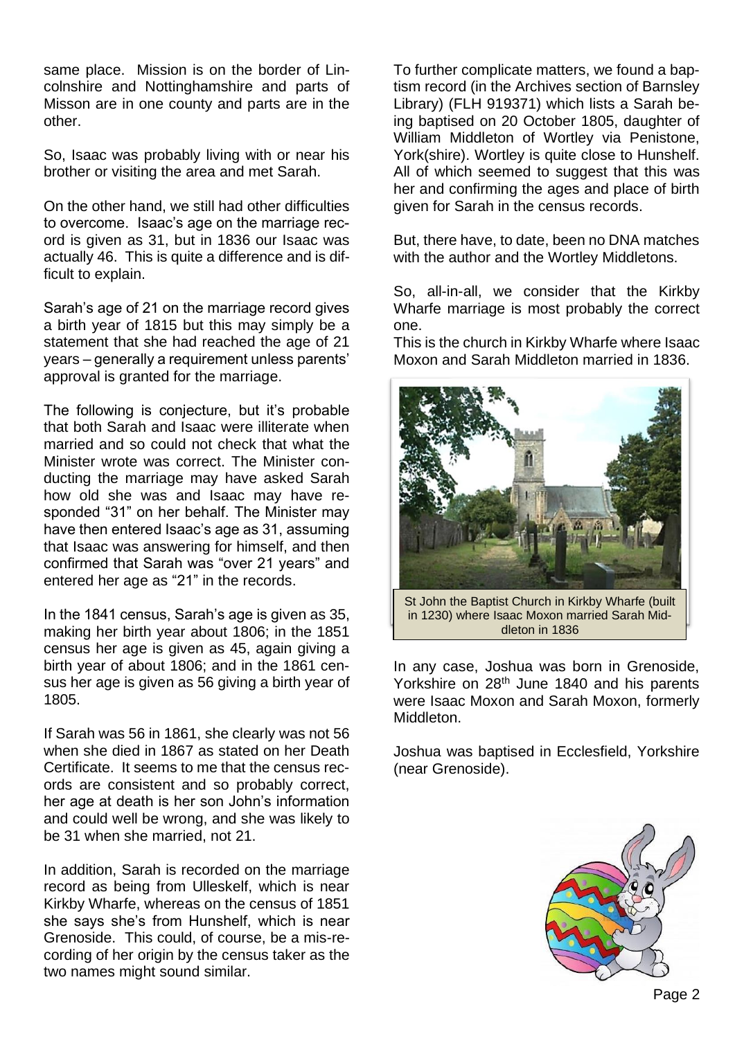same place. Mission is on the border of Lincolnshire and Nottinghamshire and parts of Misson are in one county and parts are in the other.

So, Isaac was probably living with or near his brother or visiting the area and met Sarah.

On the other hand, we still had other difficulties to overcome. Isaac's age on the marriage record is given as 31, but in 1836 our Isaac was actually 46. This is quite a difference and is difficult to explain.

Sarah's age of 21 on the marriage record gives a birth year of 1815 but this may simply be a statement that she had reached the age of 21 years – generally a requirement unless parents' approval is granted for the marriage.

The following is conjecture, but it's probable that both Sarah and Isaac were illiterate when married and so could not check that what the Minister wrote was correct. The Minister conducting the marriage may have asked Sarah how old she was and Isaac may have responded "31" on her behalf. The Minister may have then entered Isaac's age as 31, assuming that Isaac was answering for himself, and then confirmed that Sarah was "over 21 years" and entered her age as "21" in the records.

In the 1841 census, Sarah's age is given as 35, making her birth year about 1806; in the 1851 census her age is given as 45, again giving a birth year of about 1806; and in the 1861 census her age is given as 56 giving a birth year of 1805.

If Sarah was 56 in 1861, she clearly was not 56 when she died in 1867 as stated on her Death Certificate. It seems to me that the census records are consistent and so probably correct, her age at death is her son John's information and could well be wrong, and she was likely to be 31 when she married, not 21.

In addition, Sarah is recorded on the marriage record as being from Ulleskelf, which is near Kirkby Wharfe, whereas on the census of 1851 she says she's from Hunshelf, which is near Grenoside. This could, of course, be a mis-recording of her origin by the census taker as the two names might sound similar.

To further complicate matters, we found a baptism record (in the Archives section of Barnsley Library) (FLH 919371) which lists a Sarah being baptised on 20 October 1805, daughter of William Middleton of Wortley via Penistone, York(shire). Wortley is quite close to Hunshelf. All of which seemed to suggest that this was her and confirming the ages and place of birth given for Sarah in the census records.

But, there have, to date, been no DNA matches with the author and the Wortley Middletons.

So, all-in-all, we consider that the Kirkby Wharfe marriage is most probably the correct one.

This is the church in Kirkby Wharfe where Isaac Moxon and Sarah Middleton married in 1836.



in 1230) where Isaac Moxon married Sarah Middleton in 1836

In any case, Joshua was born in Grenoside, Yorkshire on 28<sup>th</sup> June 1840 and his parents were Isaac Moxon and Sarah Moxon, formerly Middleton.

Joshua was baptised in Ecclesfield, Yorkshire (near Grenoside).

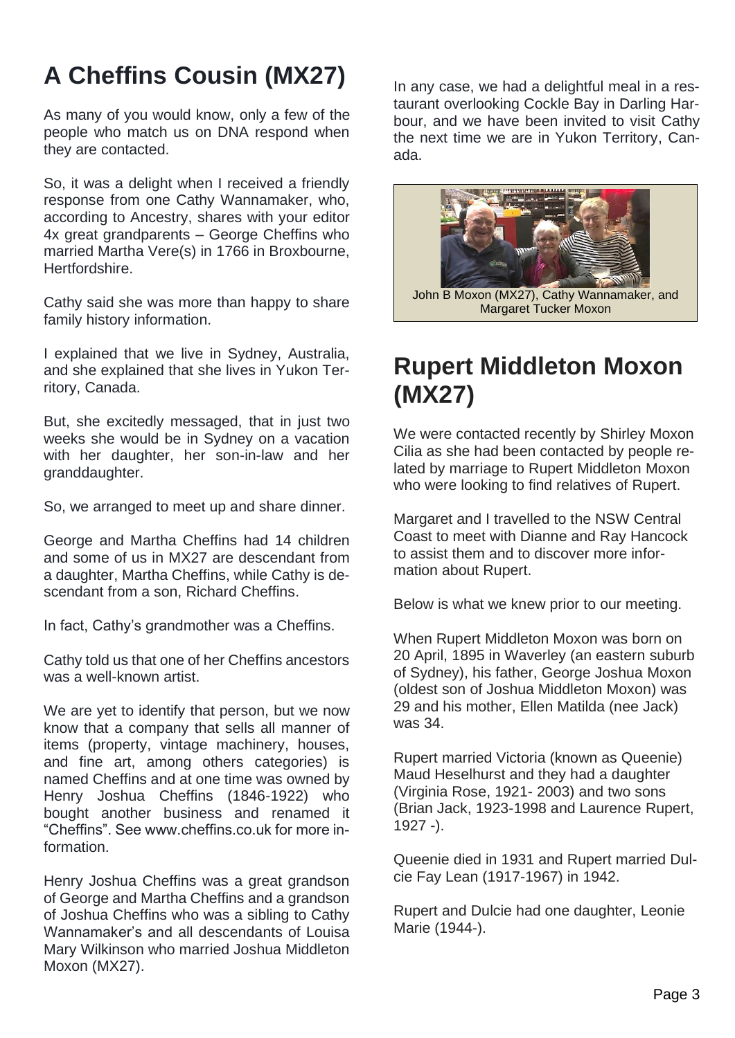# **A Cheffins Cousin (MX27)**

As many of you would know, only a few of the people who match us on DNA respond when they are contacted.

So, it was a delight when I received a friendly response from one Cathy Wannamaker, who, according to Ancestry, shares with your editor 4x great grandparents – George Cheffins who married Martha Vere(s) in 1766 in Broxbourne, Hertfordshire.

Cathy said she was more than happy to share family history information.

I explained that we live in Sydney, Australia, and she explained that she lives in Yukon Territory, Canada.

But, she excitedly messaged, that in just two weeks she would be in Sydney on a vacation with her daughter, her son-in-law and her granddaughter.

So, we arranged to meet up and share dinner.

George and Martha Cheffins had 14 children and some of us in MX27 are descendant from a daughter, Martha Cheffins, while Cathy is descendant from a son, Richard Cheffins.

In fact, Cathy's grandmother was a Cheffins.

Cathy told us that one of her Cheffins ancestors was a well-known artist.

We are yet to identify that person, but we now know that a company that sells all manner of items (property, vintage machinery, houses, and fine art, among others categories) is named Cheffins and at one time was owned by Henry Joshua Cheffins (1846-1922) who bought another business and renamed it "Cheffins". See www.cheffins.co.uk for more information.

Henry Joshua Cheffins was a great grandson of George and Martha Cheffins and a grandson of Joshua Cheffins who was a sibling to Cathy Wannamaker's and all descendants of Louisa Mary Wilkinson who married Joshua Middleton Moxon (MX27).

In any case, we had a delightful meal in a restaurant overlooking Cockle Bay in Darling Harbour, and we have been invited to visit Cathy the next time we are in Yukon Territory, Canada.



John B Moxon (MX27), Cathy Wannamaker, and Margaret Tucker Moxon

#### **Rupert Middleton Moxon (MX27)**

We were contacted recently by Shirley Moxon Cilia as she had been contacted by people related by marriage to Rupert Middleton Moxon who were looking to find relatives of Rupert.

Margaret and I travelled to the NSW Central Coast to meet with Dianne and Ray Hancock to assist them and to discover more information about Rupert.

Below is what we knew prior to our meeting.

When Rupert Middleton Moxon was born on 20 April, 1895 in Waverley (an eastern suburb of Sydney), his father, George Joshua Moxon (oldest son of Joshua Middleton Moxon) was 29 and his mother, Ellen Matilda (nee Jack) was 34.

Rupert married Victoria (known as Queenie) Maud Heselhurst and they had a daughter (Virginia Rose, 1921- 2003) and two sons (Brian Jack, 1923-1998 and Laurence Rupert, 1927 -).

Queenie died in 1931 and Rupert married Dulcie Fay Lean (1917-1967) in 1942.

Rupert and Dulcie had one daughter, Leonie Marie (1944-).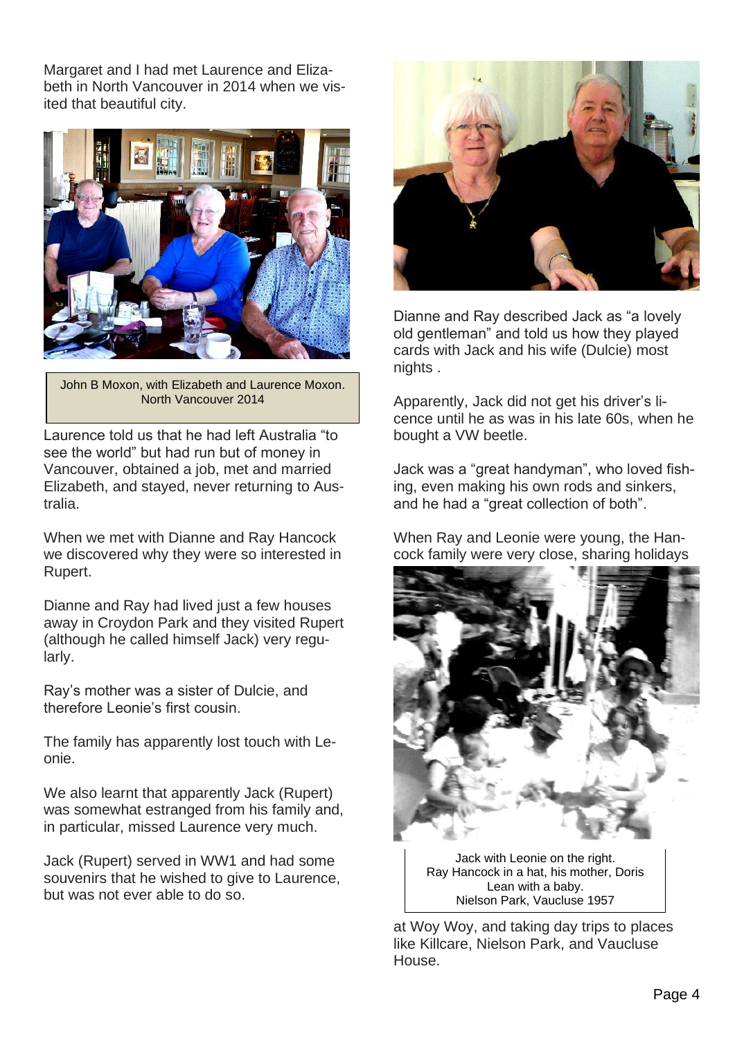Margaret and I had met Laurence and Elizabeth in North Vancouver in 2014 when we visited that beautiful city.



John B Moxon, with Elizabeth and Laurence Moxon. North Vancouver 2014

Laurence told us that he had left Australia "to see the world" but had run but of money in Vancouver, obtained a job, met and married Elizabeth, and stayed, never returning to Australia.

When we met with Dianne and Ray Hancock we discovered why they were so interested in Rupert.

Dianne and Ray had lived just a few houses away in Croydon Park and they visited Rupert (although he called himself Jack) very regularly.

Ray's mother was a sister of Dulcie, and therefore Leonie's first cousin.

The family has apparently lost touch with Leonie.

We also learnt that apparently Jack (Rupert) was somewhat estranged from his family and, in particular, missed Laurence very much.

Jack (Rupert) served in WW1 and had some souvenirs that he wished to give to Laurence, but was not ever able to do so.



Dianne and Ray described Jack as "a lovely old gentleman" and told us how they played cards with Jack and his wife (Dulcie) most nights .

Apparently, Jack did not get his driver's licence until he as was in his late 60s, when he bought a VW beetle.

Jack was a "great handyman", who loved fishing, even making his own rods and sinkers, and he had a "great collection of both".

When Ray and Leonie were young, the Hancock family were very close, sharing holidays



Jack with Leonie on the right. Ray Hancock in a hat, his mother, Doris Lean with a baby. Nielson Park, Vaucluse 1957

at Woy Woy, and taking day trips to places like Killcare, Nielson Park, and Vaucluse House.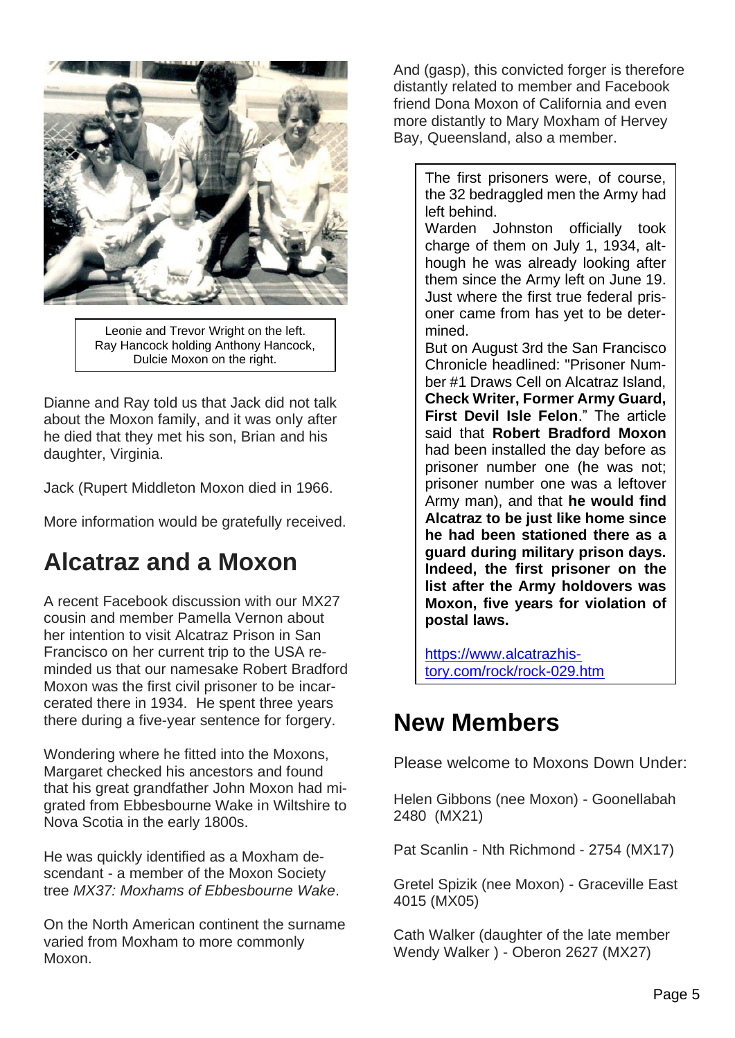

Leonie and Trevor Wright on the left. Ray Hancock holding Anthony Hancock, Dulcie Moxon on the right.

Dianne and Ray told us that Jack did not talk about the Moxon family, and it was only after he died that they met his son, Brian and his daughter, Virginia.

Jack (Rupert Middleton Moxon died in 1966.

More information would be gratefully received.

# **Alcatraz and a Moxon**

A recent Facebook discussion with our MX27 cousin and member Pamella Vernon about her intention to visit Alcatraz Prison in San Francisco on her current trip to the USA reminded us that our namesake Robert Bradford Moxon was the first civil prisoner to be incarcerated there in 1934. He spent three years there during a five-year sentence for forgery.

Wondering where he fitted into the Moxons, Margaret checked his ancestors and found that his great grandfather John Moxon had migrated from Ebbesbourne Wake in Wiltshire to Nova Scotia in the early 1800s.

He was quickly identified as a Moxham descendant - a member of the Moxon Society tree *MX37: Moxhams of Ebbesbourne Wake*.

On the North American continent the surname varied from Moxham to more commonly Moxon.

And (gasp), this convicted forger is therefore distantly related to member and Facebook friend Dona Moxon of California and even more distantly to Mary Moxham of Hervey Bay, Queensland, also a member.

> The first prisoners were, of course, the 32 bedraggled men the Army had left behind.

Warden Johnston officially took charge of them on July 1, 1934, although he was already looking after them since the Army left on June 19. Just where the first true federal prisoner came from has yet to be determined.

But on August 3rd the San Francisco Chronicle headlined: "Prisoner Number #1 Draws Cell on Alcatraz Island, **Check Writer, Former Army Guard, First Devil Isle Felon**." The article said that **Robert Bradford Moxon** had been installed the day before as prisoner number one (he was not; prisoner number one was a leftover Army man), and that **he would find Alcatraz to be just like home since he had been stationed there as a guard during military prison days. Indeed, the first prisoner on the list after the Army holdovers was Moxon, five years for violation of postal laws.**

[https://www.alcatrazhis](https://www.alcatrazhistory.com/rock/rock-029.htm)[tory.com/rock/rock-029.htm](https://www.alcatrazhistory.com/rock/rock-029.htm)

#### **New Members**

Please welcome to Moxons Down Under:

Helen Gibbons (nee Moxon) - Goonellabah 2480 (MX21)

Pat Scanlin - Nth Richmond - 2754 (MX17)

Gretel Spizik (nee Moxon) - Graceville East 4015 (MX05)

Cath Walker (daughter of the late member Wendy Walker ) - Oberon 2627 (MX27)